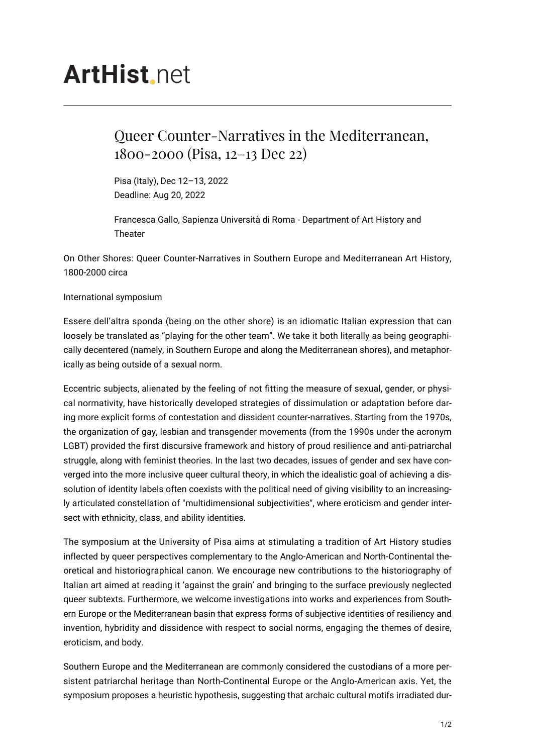## **ArtHist** net

## Queer Counter-Narratives in the Mediterranean, 1800-2000 (Pisa, 12–13 Dec 22)

Pisa (Italy), Dec 12–13, 2022 Deadline: Aug 20, 2022

Francesca Gallo, Sapienza Università di Roma - Department of Art History and Theater

On Other Shores: Queer Counter-Narratives in Southern Europe and Mediterranean Art History, 1800-2000 circa

International symposium

Essere dell'altra sponda (being on the other shore) is an idiomatic Italian expression that can loosely be translated as "playing for the other team". We take it both literally as being geographically decentered (namely, in Southern Europe and along the Mediterranean shores), and metaphorically as being outside of a sexual norm.

Eccentric subjects, alienated by the feeling of not fitting the measure of sexual, gender, or physical normativity, have historically developed strategies of dissimulation or adaptation before daring more explicit forms of contestation and dissident counter-narratives. Starting from the 1970s, the organization of gay, lesbian and transgender movements (from the 1990s under the acronym LGBT) provided the first discursive framework and history of proud resilience and anti-patriarchal struggle, along with feminist theories. In the last two decades, issues of gender and sex have converged into the more inclusive queer cultural theory, in which the idealistic goal of achieving a dissolution of identity labels often coexists with the political need of giving visibility to an increasingly articulated constellation of "multidimensional subjectivities", where eroticism and gender intersect with ethnicity, class, and ability identities.

The symposium at the University of Pisa aims at stimulating a tradition of Art History studies inflected by queer perspectives complementary to the Anglo-American and North-Continental theoretical and historiographical canon. We encourage new contributions to the historiography of Italian art aimed at reading it 'against the grain' and bringing to the surface previously neglected queer subtexts. Furthermore, we welcome investigations into works and experiences from Southern Europe or the Mediterranean basin that express forms of subjective identities of resiliency and invention, hybridity and dissidence with respect to social norms, engaging the themes of desire, eroticism, and body.

Southern Europe and the Mediterranean are commonly considered the custodians of a more persistent patriarchal heritage than North-Continental Europe or the Anglo-American axis. Yet, the symposium proposes a heuristic hypothesis, suggesting that archaic cultural motifs irradiated dur